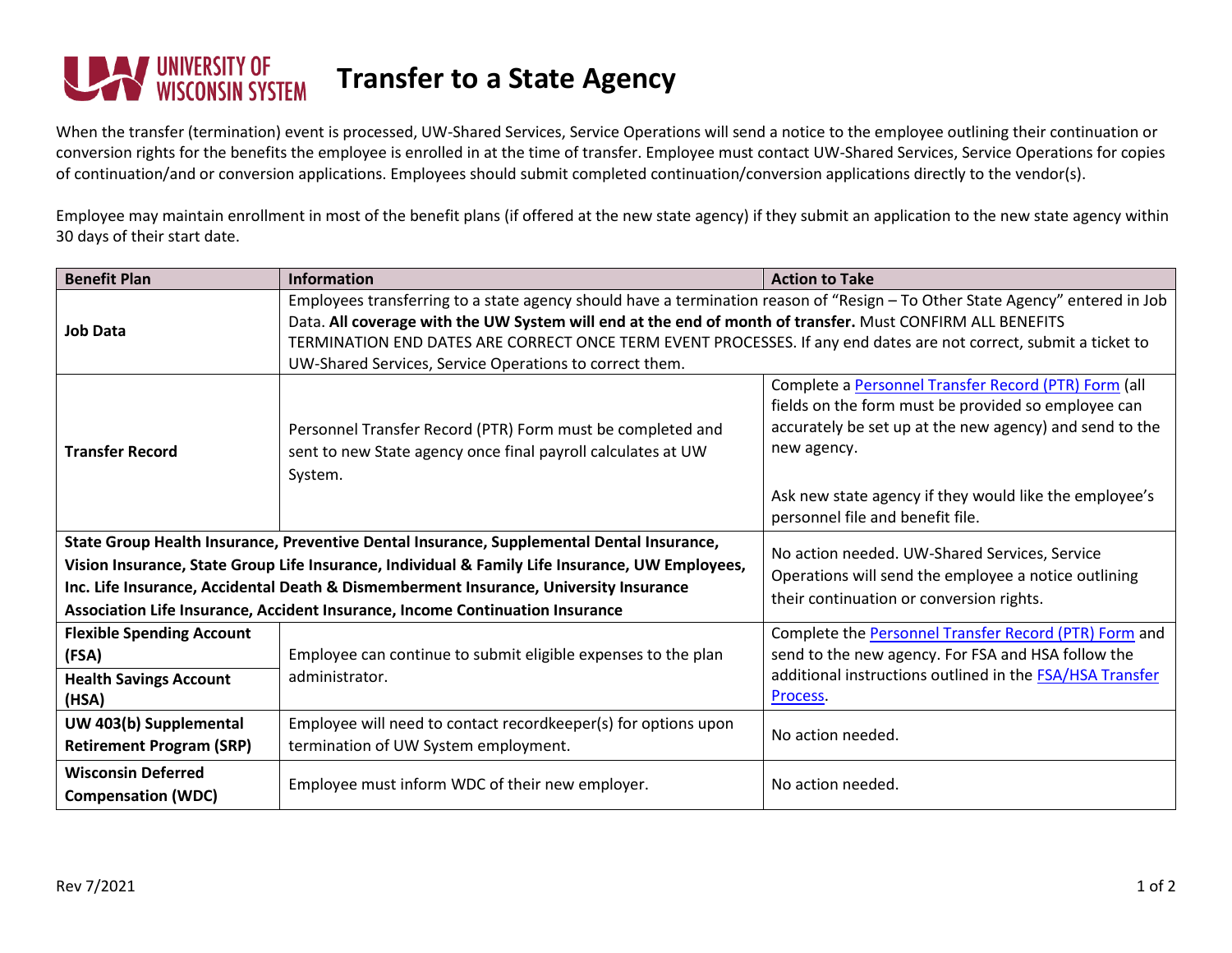

When the transfer (termination) event is processed, UW-Shared Services, Service Operations will send a notice to the employee outlining their continuation or conversion rights for the benefits the employee is enrolled in at the time of transfer. Employee must contact UW-Shared Services, Service Operations for copies of continuation/and or conversion applications. Employees should submit completed continuation/conversion applications directly to the vendor(s).

Employee may maintain enrollment in most of the benefit plans (if offered at the new state agency) if they submit an application to the new state agency within 30 days of their start date.

| <b>Benefit Plan</b>                                                                                                                        | <b>Information</b>                                                                                                                                                                                                                                                                                                                                                                                                        | <b>Action to Take</b>                                                                                                                                                                 |
|--------------------------------------------------------------------------------------------------------------------------------------------|---------------------------------------------------------------------------------------------------------------------------------------------------------------------------------------------------------------------------------------------------------------------------------------------------------------------------------------------------------------------------------------------------------------------------|---------------------------------------------------------------------------------------------------------------------------------------------------------------------------------------|
| <b>Job Data</b>                                                                                                                            | Employees transferring to a state agency should have a termination reason of "Resign - To Other State Agency" entered in Job<br>Data. All coverage with the UW System will end at the end of month of transfer. Must CONFIRM ALL BENEFITS<br>TERMINATION END DATES ARE CORRECT ONCE TERM EVENT PROCESSES. If any end dates are not correct, submit a ticket to<br>UW-Shared Services, Service Operations to correct them. |                                                                                                                                                                                       |
| <b>Transfer Record</b><br>System.                                                                                                          | Personnel Transfer Record (PTR) Form must be completed and<br>sent to new State agency once final payroll calculates at UW                                                                                                                                                                                                                                                                                                | Complete a Personnel Transfer Record (PTR) Form (all<br>fields on the form must be provided so employee can<br>accurately be set up at the new agency) and send to the<br>new agency. |
|                                                                                                                                            |                                                                                                                                                                                                                                                                                                                                                                                                                           | Ask new state agency if they would like the employee's<br>personnel file and benefit file.                                                                                            |
| State Group Health Insurance, Preventive Dental Insurance, Supplemental Dental Insurance,<br>No action needed. UW-Shared Services, Service |                                                                                                                                                                                                                                                                                                                                                                                                                           |                                                                                                                                                                                       |
| Vision Insurance, State Group Life Insurance, Individual & Family Life Insurance, UW Employees,                                            |                                                                                                                                                                                                                                                                                                                                                                                                                           | Operations will send the employee a notice outlining                                                                                                                                  |
| Inc. Life Insurance, Accidental Death & Dismemberment Insurance, University Insurance                                                      |                                                                                                                                                                                                                                                                                                                                                                                                                           | their continuation or conversion rights.                                                                                                                                              |
| Association Life Insurance, Accident Insurance, Income Continuation Insurance                                                              |                                                                                                                                                                                                                                                                                                                                                                                                                           |                                                                                                                                                                                       |
| <b>Flexible Spending Account</b>                                                                                                           |                                                                                                                                                                                                                                                                                                                                                                                                                           | Complete the Personnel Transfer Record (PTR) Form and                                                                                                                                 |
| (FSA)                                                                                                                                      | Employee can continue to submit eligible expenses to the plan                                                                                                                                                                                                                                                                                                                                                             | send to the new agency. For FSA and HSA follow the                                                                                                                                    |
| <b>Health Savings Account</b><br>(HSA)                                                                                                     | administrator.                                                                                                                                                                                                                                                                                                                                                                                                            | additional instructions outlined in the <b>FSA/HSA Transfer</b><br>Process.                                                                                                           |
| UW 403(b) Supplemental<br><b>Retirement Program (SRP)</b>                                                                                  | Employee will need to contact recordkeeper(s) for options upon<br>termination of UW System employment.                                                                                                                                                                                                                                                                                                                    | No action needed.                                                                                                                                                                     |
| <b>Wisconsin Deferred</b><br><b>Compensation (WDC)</b>                                                                                     | Employee must inform WDC of their new employer.                                                                                                                                                                                                                                                                                                                                                                           | No action needed.                                                                                                                                                                     |